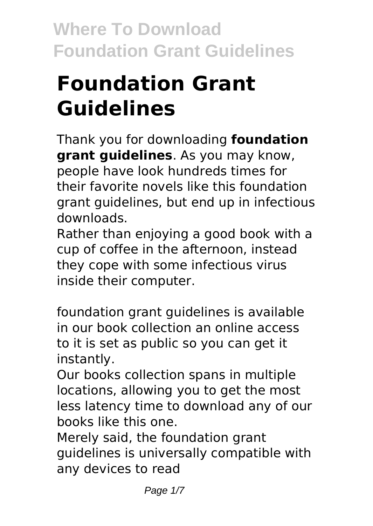# **Foundation Grant Guidelines**

Thank you for downloading **foundation grant guidelines**. As you may know, people have look hundreds times for their favorite novels like this foundation grant guidelines, but end up in infectious downloads.

Rather than enjoying a good book with a cup of coffee in the afternoon, instead they cope with some infectious virus inside their computer.

foundation grant guidelines is available in our book collection an online access to it is set as public so you can get it instantly.

Our books collection spans in multiple locations, allowing you to get the most less latency time to download any of our books like this one.

Merely said, the foundation grant guidelines is universally compatible with any devices to read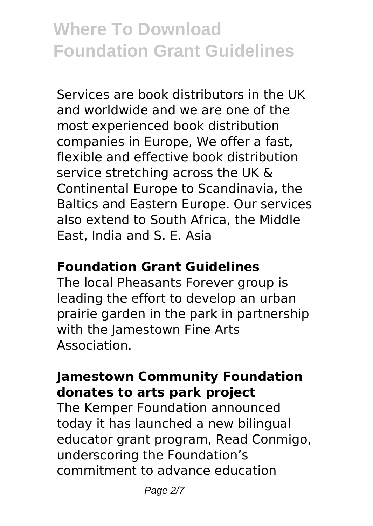Services are book distributors in the UK and worldwide and we are one of the most experienced book distribution companies in Europe, We offer a fast, flexible and effective book distribution service stretching across the UK & Continental Europe to Scandinavia, the Baltics and Eastern Europe. Our services also extend to South Africa, the Middle East, India and S. E. Asia

#### **Foundation Grant Guidelines**

The local Pheasants Forever group is leading the effort to develop an urban prairie garden in the park in partnership with the Jamestown Fine Arts Association.

#### **Jamestown Community Foundation donates to arts park project**

The Kemper Foundation announced today it has launched a new bilingual educator grant program, Read Conmigo, underscoring the Foundation's commitment to advance education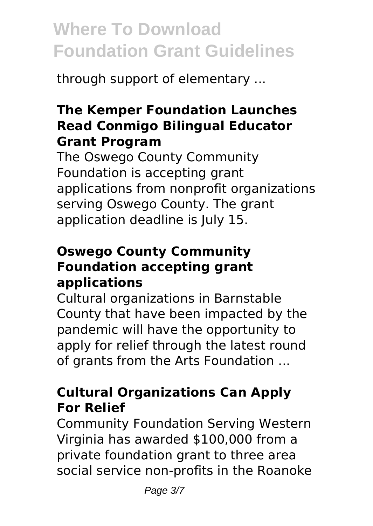through support of elementary ...

### **The Kemper Foundation Launches Read Conmigo Bilingual Educator Grant Program**

The Oswego County Community Foundation is accepting grant applications from nonprofit organizations serving Oswego County. The grant application deadline is July 15.

### **Oswego County Community Foundation accepting grant applications**

Cultural organizations in Barnstable County that have been impacted by the pandemic will have the opportunity to apply for relief through the latest round of grants from the Arts Foundation ...

### **Cultural Organizations Can Apply For Relief**

Community Foundation Serving Western Virginia has awarded \$100,000 from a private foundation grant to three area social service non-profits in the Roanoke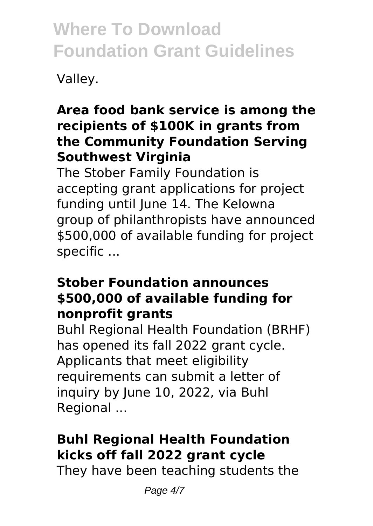Valley.

### **Area food bank service is among the recipients of \$100K in grants from the Community Foundation Serving Southwest Virginia**

The Stober Family Foundation is accepting grant applications for project funding until June 14. The Kelowna group of philanthropists have announced \$500,000 of available funding for project specific ...

#### **Stober Foundation announces \$500,000 of available funding for nonprofit grants**

Buhl Regional Health Foundation (BRHF) has opened its fall 2022 grant cycle. Applicants that meet eligibility requirements can submit a letter of inquiry by June 10, 2022, via Buhl Regional ...

### **Buhl Regional Health Foundation kicks off fall 2022 grant cycle**

They have been teaching students the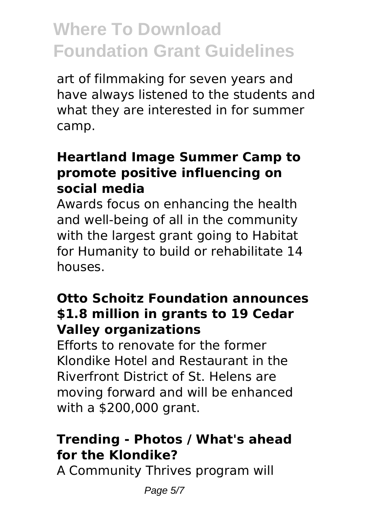art of filmmaking for seven years and have always listened to the students and what they are interested in for summer camp.

#### **Heartland Image Summer Camp to promote positive influencing on social media**

Awards focus on enhancing the health and well-being of all in the community with the largest grant going to Habitat for Humanity to build or rehabilitate 14 houses.

### **Otto Schoitz Foundation announces \$1.8 million in grants to 19 Cedar Valley organizations**

Efforts to renovate for the former Klondike Hotel and Restaurant in the Riverfront District of St. Helens are moving forward and will be enhanced with a \$200,000 grant.

### **Trending - Photos / What's ahead for the Klondike?**

A Community Thrives program will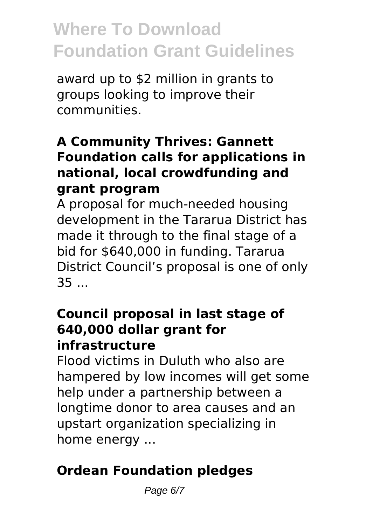award up to \$2 million in grants to groups looking to improve their communities.

### **A Community Thrives: Gannett Foundation calls for applications in national, local crowdfunding and grant program**

A proposal for much-needed housing development in the Tararua District has made it through to the final stage of a bid for \$640,000 in funding. Tararua District Council's proposal is one of only 35 ...

#### **Council proposal in last stage of 640,000 dollar grant for infrastructure**

Flood victims in Duluth who also are hampered by low incomes will get some help under a partnership between a longtime donor to area causes and an upstart organization specializing in home energy ...

### **Ordean Foundation pledges**

Page 6/7